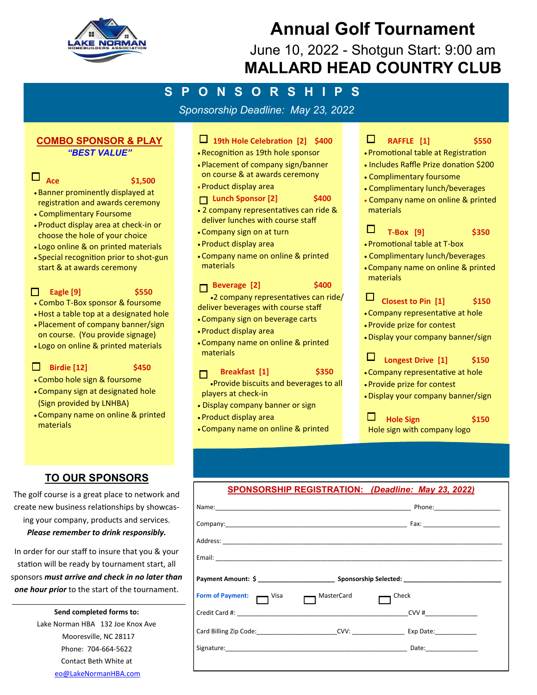

# **Annual Golf Tournament**

June 10, 2022 - Shotgun Start: 9:00 am **MALLARD HEAD COUNTRY CLUB**

## **S P O N S O R S H I P S**

*Sponsorship Deadline: May 23, 2022*

## **COMBO SPONSOR & PLAY**  *"BEST VALUE"*

## $\Box$  Ace  $\qquad \qquad$  \$1,500

- 
- Banner prominently displayed at registration and awards ceremony
- Complimentary Foursome
- Product display area at check-in or choose the hole of your choice
- Logo online & on printed materials
- Special recognition prior to shot-gun start & at awards ceremony

#### **Eagle [9]** \$550  $\Box$

- Combo T-Box sponsor & foursome
- •Host a table top at a designated hole
- Placement of company banner/sign on course. (You provide signage)
- Logo on online & printed materials

## **1** Birdie [12] \$450

- 
- Combo hole sign & foursome
- Company sign at designated hole (Sign provided by LNHBA)
- Company name on online & printed materials

## **TO OUR SPONSORS**

The golf course is a great place to network and create new business relationships by showcasing your company, products and services. *Please remember to drink responsibly.* 

In order for our staff to insure that you & your station will be ready by tournament start, all sponsors *must arrive and check in no later than one hour prior* to the start of the tournament.

> **Send completed forms to:**  Lake Norman HBA 132 Joe Knox Ave Mooresville, NC 28117 Phone: 704-664-5622 Contact Beth White at eo@LakeNormanHBA.com

## **19th Hole Celebration [2] \$400**

- Recognition as 19th hole sponsor
- Placement of company sign/banner on course & at awards ceremony
- Product display area

## **Lunch Sponsor [2]** \$400

- 2 company representatives can ride & deliver lunches with course staff
- Company sign on at turn
- Product display area
- Company name on online & printed materials

## **Beverage [2]** \$400

•2 company representatives can ride/ deliver beverages with course staff

- Company sign on beverage carts
- Product display area
- Company name on online & printed materials

## **Breakfast [1] \$350**

•Provide biscuits and beverages to all players at check-in

- Display company banner or sign
- Product display area
- Company name on online & printed

#### $\Box$  **RAFFLE [1] \$550**

- Promotional table at Registration
- Includes Raffle Prize donation \$200
- Complimentary foursome
- Complimentary lunch/beverages
- Company name on online & printed materials

#### П  **T-Box [9] \$350**

- Promotional table at T-box
- Complimentary lunch/beverages
- Company name on online & printed materials

#### $\Box$ **Closest to Pin [1] \$150**

- Company representative at hole
- Provide prize for contest
- •Display your company banner/sign

## **Longest Drive [1] \$150**

- Company representative at hole
- Provide prize for contest

 $\Box$ 

•Display your company banner/sign

 $\Box$  **Hole Sign \$150**  Hole sign with company logo

## **SPONSORSHIP REGISTRATION:** *(Deadline: May 23, 2022)*

|                           |            | Name: Phone Phone Phone Phone Phone Phone Phone Phone Phone Phone Phone Phone Phone Phone Phone Phone Phone Phone Phone Phone Phone Phone Phone Phone Phone Phone Phone Phone Phone Phone Phone Phone Phone Phone Phone Phone |
|---------------------------|------------|-------------------------------------------------------------------------------------------------------------------------------------------------------------------------------------------------------------------------------|
|                           |            |                                                                                                                                                                                                                               |
|                           |            |                                                                                                                                                                                                                               |
|                           |            |                                                                                                                                                                                                                               |
|                           |            | Payment Amount: \$ __________________________________ Sponsorship Selected: _________________________                                                                                                                         |
| Form of Payment: — Visa — | MasterCard | Check                                                                                                                                                                                                                         |
|                           |            | $CVV$ #                                                                                                                                                                                                                       |
|                           |            | Card Billing Zip Code: CVV: Exp Date:                                                                                                                                                                                         |
|                           |            | Date: <u>Date: Date: Date: Date: Date: Date: Date: Date: Date: Date: Date: Date: Date: Date: Date: Date: Date: D</u>                                                                                                          |
|                           |            |                                                                                                                                                                                                                               |